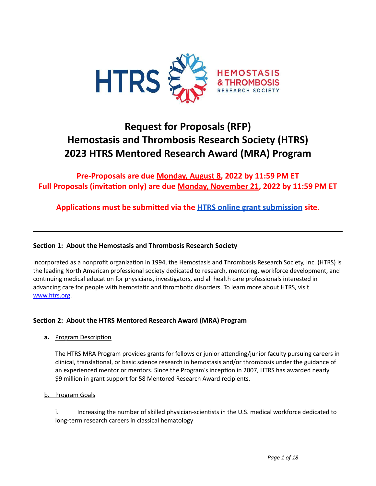

# **Request for Proposals (RFP) Hemostasis and Thrombosis Research Society (HTRS) 2023 HTRS Mentored Research Award (MRA) Program**

**Pre-Proposals are due Monday, August 8, 2022 by 11:59 PM ET Full** Proposals (invitation only) are due **Monday, November 21, 2022** by 11:59 PM ET

**Applications must be submitted via the HTRS online grant [submission](https://htrs.smapply.org/) site.** 

# **Section 1: About the Hemostasis and Thrombosis Research Society**

Incorporated as a nonprofit organization in 1994, the Hemostasis and Thrombosis Research Society, Inc. (HTRS) is the leading North American professional society dedicated to research, mentoring, workforce development, and continuing medical education for physicians, investigators, and all health care professionals interested in advancing care for people with hemostatic and thrombotic disorders. To learn more about HTRS, visit [www.htrs.org.](http://www.htrs.org/)

# **Section 2: About the HTRS Mentored Research Award (MRA) Program**

**a.** Program Description

The HTRS MRA Program provides grants for fellows or junior attending/junior faculty pursuing careers in clinical, translational, or basic science research in hemostasis and/or thrombosis under the guidance of an experienced mentor or mentors. Since the Program's inception in 2007, HTRS has awarded nearly \$9 million in grant support for 58 Mentored Research Award recipients.

b. Program Goals

i. Increasing the number of skilled physician-scientists in the U.S. medical workforce dedicated to long-term research careers in classical hematology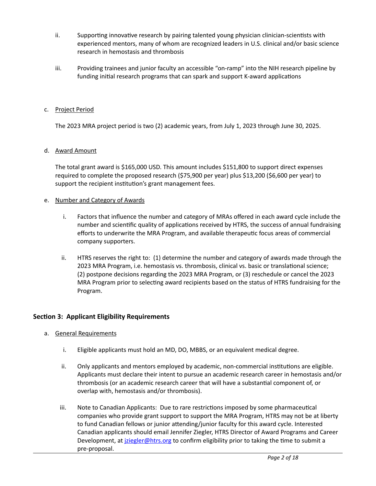- ii. Supporting innovative research by pairing talented young physician clinician-scientists with experienced mentors, many of whom are recognized leaders in U.S. clinical and/or basic science research in hemostasis and thrombosis
- iii. Providing trainees and junior faculty an accessible "on-ramp" into the NIH research pipeline by funding initial research programs that can spark and support K-award applications

### c. Project Period

The 2023 MRA project period is two (2) academic years, from July 1, 2023 through June 30, 2025.

### d. Award Amount

The total grant award is \$165,000 USD. This amount includes \$151,800 to support direct expenses required to complete the proposed research (\$75,900 per year) plus \$13,200 (\$6,600 per year) to support the recipient institution's grant management fees.

### e. Number and Category of Awards

- i. Factors that influence the number and category of MRAs offered in each award cycle include the number and scientific quality of applications received by HTRS, the success of annual fundraising efforts to underwrite the MRA Program, and available therapeutic focus areas of commercial company supporters.
- ii. HTRS reserves the right to: (1) determine the number and category of awards made through the 2023 MRA Program, i.e. hemostasis vs. thrombosis, clinical vs. basic or translational science; (2) postpone decisions regarding the 2023 MRA Program, or (3) reschedule or cancel the 2023 MRA Program prior to selecting award recipients based on the status of HTRS fundraising for the Program.

### **Section 3: Applicant Eligibility Requirements**

- a. General Requirements
	- i. Eligible applicants must hold an MD, DO, MBBS, or an equivalent medical degree.
	- ii. Only applicants and mentors employed by academic, non-commercial institutions are eligible. Applicants must declare their intent to pursue an academic research career in hemostasis and/or thrombosis (or an academic research career that will have a substantial component of, or overlap with, hemostasis and/or thrombosis).
	- iii. Note to Canadian Applicants: Due to rare restrictions imposed by some pharmaceutical companies who provide grant support to support the MRA Program, HTRS may not be at liberty to fund Canadian fellows or junior attending/junior faculty for this award cycle. Interested Canadian applicants should email Jennifer Ziegler, HTRS Director of Award Programs and Career Development, at *[jziegler@htrs.org](mailto:jziegler@htrs.org)* to confirm eligibility prior to taking the time to submit a pre-proposal.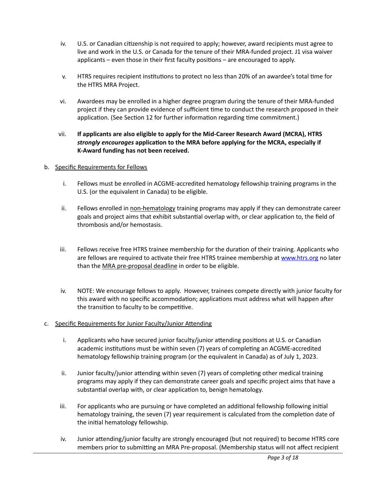- iv. U.S. or Canadian citizenship is not required to apply; however, award recipients must agree to live and work in the U.S. or Canada for the tenure of their MRA-funded project. J1 visa waiver applicants – even those in their first faculty positions – are encouraged to apply.
- v. HTRS requires recipient institutions to protect no less than 20% of an awardee's total time for the HTRS MRA Project.
- vi. Awardees may be enrolled in a higher degree program during the tenure of their MRA-funded project if they can provide evidence of sufficient time to conduct the research proposed in their application. (See Section 12 for further information regarding time commitment.)
- vii. **If applicants are also eligible to apply for the Mid-Career Research Award (MCRA), HTRS** *strongly encourages* application to the MRA before applying for the MCRA, especially if **K-Award funding has not been received.**

### b. Specific Requirements for Fellows

- i. Fellows must be enrolled in ACGME-accredited hematology fellowship training programs in the U.S. (or the equivalent in Canada) to be eligible.
- ii. Fellows enrolled in non-hematology training programs may apply if they can demonstrate career goals and project aims that exhibit substantial overlap with, or clear application to, the field of thrombosis and/or hemostasis.
- iii. Fellows receive free HTRS trainee membership for the duration of their training. Applicants who are fellows are required to activate their free HTRS trainee membership at [www.htrs.org](http://www.htrs.org/) no later than the MRA pre-proposal deadline in order to be eligible.
- iv. NOTE: We encourage fellows to apply. However, trainees compete directly with junior faculty for this award with no specific accommodation; applications must address what will happen after the transition to faculty to be competitive.
- c. Specific Requirements for Junior Faculty/Junior Attending
	- i. Applicants who have secured junior faculty/junior attending positions at U.S. or Canadian academic institutions must be within seven (7) years of completing an ACGME-accredited hematology fellowship training program (or the equivalent in Canada) as of July 1, 2023.
	- ii. Junior faculty/junior attending within seven  $(7)$  years of completing other medical training programs may apply if they can demonstrate career goals and specific project aims that have a substantial overlap with, or clear application to, benign hematology.
	- iii. For applicants who are pursuing or have completed an additional fellowship following initial hematology training, the seven (7) year requirement is calculated from the completion date of the initial hematology fellowship.
	- iv. Junior attending/junior faculty are strongly encouraged (but not required) to become HTRS core members prior to submitting an MRA Pre-proposal. (Membership status will not affect recipient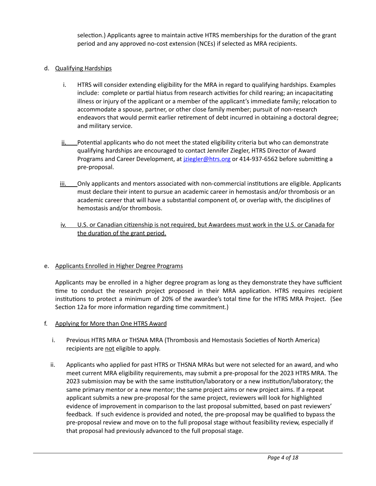selection.) Applicants agree to maintain active HTRS memberships for the duration of the grant period and any approved no-cost extension (NCEs) if selected as MRA recipients.

### d. Qualifying Hardships

- i. HTRS will consider extending eligibility for the MRA in regard to qualifying hardships. Examples include: complete or partial hiatus from research activities for child rearing; an incapacitating illness or injury of the applicant or a member of the applicant's immediate family; relocation to accommodate a spouse, partner, or other close family member; pursuit of non-research endeavors that would permit earlier retirement of debt incurred in obtaining a doctoral degree; and military service.
- ii. Potential applicants who do not meet the stated eligibility criteria but who can demonstrate qualifying hardships are encouraged to contact Jennifer Ziegler, HTRS Director of Award Programs and Career Development, at *[jziegler@htrs.org](mailto:jziegler@htrs.org)* or 414-937-6562 before submitting a pre-proposal.
- iii. Chly applicants and mentors associated with non-commercial institutions are eligible. Applicants must declare their intent to pursue an academic career in hemostasis and/or thrombosis or an academic career that will have a substantial component of, or overlap with, the disciplines of hemostasis and/or thrombosis.
- iv. U.S. or Canadian citizenship is not required, but Awardees must work in the U.S. or Canada for the duration of the grant period.

#### e. Applicants Enrolled in Higher Degree Programs

Applicants may be enrolled in a higher degree program as long as they demonstrate they have sufficient time to conduct the research project proposed in their MRA application. HTRS requires recipient institutions to protect a minimum of 20% of the awardee's total time for the HTRS MRA Project. (See Section 12a for more information regarding time commitment.)

#### f. Applying for More than One HTRS Award

- i. Previous HTRS MRA or THSNA MRA (Thrombosis and Hemostasis Societies of North America) recipients are not eligible to apply.
- ii. Applicants who applied for past HTRS or THSNA MRAs but were not selected for an award, and who meet current MRA eligibility requirements, may submit a pre-proposal for the 2023 HTRS MRA. The 2023 submission may be with the same institution/laboratory or a new institution/laboratory; the same primary mentor or a new mentor; the same project aims or new project aims. If a repeat applicant submits a new pre-proposal for the same project, reviewers will look for highlighted evidence of improvement in comparison to the last proposal submitted, based on past reviewers' feedback. If such evidence is provided and noted, the pre-proposal may be qualified to bypass the pre-proposal review and move on to the full proposal stage without feasibility review, especially if that proposal had previously advanced to the full proposal stage.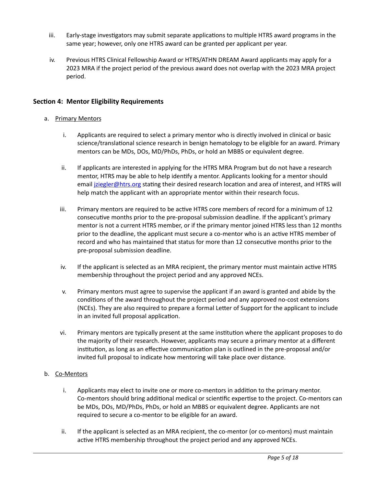- iii. Early-stage investigators may submit separate applications to multiple HTRS award programs in the same year; however, only one HTRS award can be granted per applicant per year.
- iv. Previous HTRS Clinical Fellowship Award or HTRS/ATHN DREAM Award applicants may apply for a 2023 MRA if the project period of the previous award does not overlap with the 2023 MRA project period.

### **Section 4: Mentor Eligibility Requirements**

### a. Primary Mentors

- i. Applicants are required to select a primary mentor who is directly involved in clinical or basic science/translational science research in benign hematology to be eligible for an award. Primary mentors can be MDs, DOs, MD/PhDs, PhDs, or hold an MBBS or equivalent degree.
- ii. If applicants are interested in applying for the HTRS MRA Program but do not have a research mentor, HTRS may be able to help identify a mentor. Applicants looking for a mentor should email *iziegler@htrs.org stating their desired research location and area of interest, and HTRS will* help match the applicant with an appropriate mentor within their research focus.
- iii. Primary mentors are required to be active HTRS core members of record for a minimum of 12 consecutive months prior to the pre-proposal submission deadline. If the applicant's primary mentor is not a current HTRS member, or if the primary mentor joined HTRS less than 12 months prior to the deadline, the applicant must secure a co-mentor who is an active HTRS member of record and who has maintained that status for more than 12 consecutive months prior to the pre-proposal submission deadline.
- iv. If the applicant is selected as an MRA recipient, the primary mentor must maintain active HTRS membership throughout the project period and any approved NCEs.
- v. Primary mentors must agree to supervise the applicant if an award is granted and abide by the conditions of the award throughout the project period and any approved no-cost extensions (NCEs). They are also required to prepare a formal Letter of Support for the applicant to include in an invited full proposal application.
- vi. Primary mentors are typically present at the same institution where the applicant proposes to do the majority of their research. However, applicants may secure a primary mentor at a different institution, as long as an effective communication plan is outlined in the pre-proposal and/or invited full proposal to indicate how mentoring will take place over distance.

### b. Co-Mentors

- i. Applicants may elect to invite one or more co-mentors in addition to the primary mentor. Co-mentors should bring additional medical or scientific expertise to the project. Co-mentors can be MDs, DOs, MD/PhDs, PhDs, or hold an MBBS or equivalent degree. Applicants are not required to secure a co-mentor to be eligible for an award.
- ii. If the applicant is selected as an MRA recipient, the co-mentor (or co-mentors) must maintain active HTRS membership throughout the project period and any approved NCEs.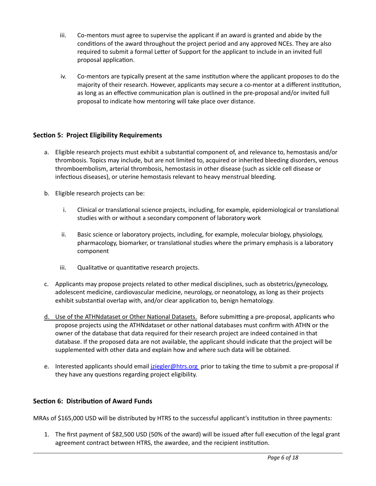- iii. Co-mentors must agree to supervise the applicant if an award is granted and abide by the conditions of the award throughout the project period and any approved NCEs. They are also required to submit a formal Letter of Support for the applicant to include in an invited full proposal application.
- iv. Co-mentors are typically present at the same institution where the applicant proposes to do the majority of their research. However, applicants may secure a co-mentor at a different institution, as long as an effective communication plan is outlined in the pre-proposal and/or invited full proposal to indicate how mentoring will take place over distance.

# **Section 5: Project Eligibility Requirements**

- a. Eligible research projects must exhibit a substantial component of, and relevance to, hemostasis and/or thrombosis. Topics may include, but are not limited to, acquired or inherited bleeding disorders, venous thromboembolism, arterial thrombosis, hemostasis in other disease (such as sickle cell disease or infectious diseases), or uterine hemostasis relevant to heavy menstrual bleeding.
- b. Eligible research projects can be:
	- i. Clinical or translational science projects, including, for example, epidemiological or translational studies with or without a secondary component of laboratory work
	- ii. Basic science or laboratory projects, including, for example, molecular biology, physiology, pharmacology, biomarker, or translational studies where the primary emphasis is a laboratory component
	- iii. Qualitative or quantitative research projects.
- c. Applicants may propose projects related to other medical disciplines, such as obstetrics/gynecology, adolescent medicine, cardiovascular medicine, neurology, or neonatology, as long as their projects exhibit substantial overlap with, and/or clear application to, benign hematology.
- d. Use of the ATHNdataset or Other National Datasets. Before submitting a pre-proposal, applicants who propose projects using the ATHNdataset or other national databases must confirm with ATHN or the owner of the database that data required for their research project are indeed contained in that database. If the proposed data are not available, the applicant should indicate that the project will be supplemented with other data and explain how and where such data will be obtained.
- e. Interested applicants should email *iziegler@htrs.org* prior to taking the time to submit a pre-proposal if they have any questions regarding project eligibility.

# **Section 6: Distribution of Award Funds**

MRAs of \$165,000 USD will be distributed by HTRS to the successful applicant's institution in three payments:

1. The first payment of \$82,500 USD (50% of the award) will be issued after full execution of the legal grant agreement contract between HTRS, the awardee, and the recipient institution.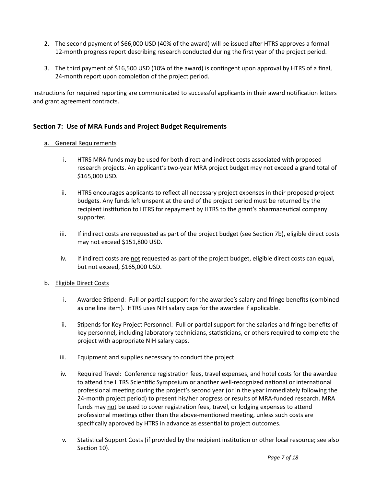- 2. The second payment of \$66,000 USD (40% of the award) will be issued after HTRS approves a formal 12-month progress report describing research conducted during the first year of the project period.
- 3. The third payment of \$16,500 USD (10% of the award) is contingent upon approval by HTRS of a final, 24-month report upon completion of the project period.

Instructions for required reporting are communicated to successful applicants in their award notification letters and grant agreement contracts.

## **Section 7: Use of MRA Funds and Project Budget Requirements**

### a. General Requirements

- i. HTRS MRA funds may be used for both direct and indirect costs associated with proposed research projects. An applicant's two-year MRA project budget may not exceed a grand total of \$165,000 USD.
- ii. HTRS encourages applicants to reflect all necessary project expenses in their proposed project budgets. Any funds left unspent at the end of the project period must be returned by the recipient institution to HTRS for repayment by HTRS to the grant's pharmaceutical company supporter.
- iii. If indirect costs are requested as part of the project budget (see Section 7b), eligible direct costs may not exceed \$151,800 USD.
- iv. If indirect costs are not requested as part of the project budget, eligible direct costs can equal, but not exceed, \$165,000 USD.

#### b. Eligible Direct Costs

- i. Awardee Stipend: Full or partial support for the awardee's salary and fringe benefits (combined as one line item). HTRS uses NIH salary caps for the awardee if applicable.
- ii. Stipends for Key Project Personnel: Full or partial support for the salaries and fringe benefits of key personnel, including laboratory technicians, statisticians, or others required to complete the project with appropriate NIH salary caps.
- iii. Equipment and supplies necessary to conduct the project
- iv. Required Travel: Conference registration fees, travel expenses, and hotel costs for the awardee to attend the HTRS Scientific Symposium or another well-recognized national or international professional meeting during the project's second year (or in the year immediately following the 24-month project period) to present his/her progress or results of MRA-funded research. MRA funds may not be used to cover registration fees, travel, or lodging expenses to attend professional meetings other than the above-mentioned meeting, unless such costs are specifically approved by HTRS in advance as essential to project outcomes.
- v. Statistical Support Costs (if provided by the recipient institution or other local resource; see also Section 10).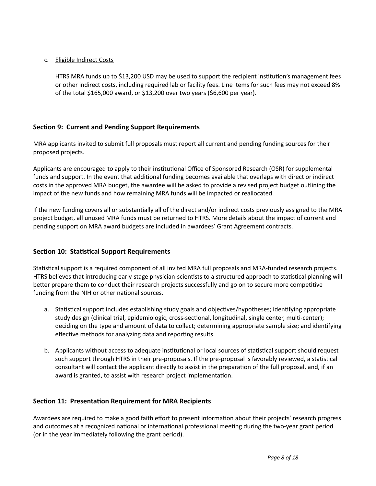## c. Eligible Indirect Costs

HTRS MRA funds up to \$13,200 USD may be used to support the recipient institution's management fees or other indirect costs, including required lab or facility fees. Line items for such fees may not exceed 8% of the total \$165,000 award, or \$13,200 over two years (\$6,600 per year).

# **Section 9: Current and Pending Support Requirements**

MRA applicants invited to submit full proposals must report all current and pending funding sources for their proposed projects.

Applicants are encouraged to apply to their institutional Office of Sponsored Research (OSR) for supplemental funds and support. In the event that additional funding becomes available that overlaps with direct or indirect costs in the approved MRA budget, the awardee will be asked to provide a revised project budget outlining the impact of the new funds and how remaining MRA funds will be impacted or reallocated.

If the new funding covers all or substantially all of the direct and/or indirect costs previously assigned to the MRA project budget, all unused MRA funds must be returned to HTRS. More details about the impact of current and pending support on MRA award budgets are included in awardees' Grant Agreement contracts.

# **Section 10: Statistical Support Requirements**

Statistical support is a required component of all invited MRA full proposals and MRA-funded research projects. HTRS believes that introducing early-stage physician-scientists to a structured approach to statistical planning will better prepare them to conduct their research projects successfully and go on to secure more competitive funding from the NIH or other national sources.

- a. Statistical support includes establishing study goals and objectives/hypotheses; identifying appropriate study design (clinical trial, epidemiologic, cross-sectional, longitudinal, single center, multi-center); deciding on the type and amount of data to collect; determining appropriate sample size; and identifying effective methods for analyzing data and reporting results.
- b. Applicants without access to adequate institutional or local sources of statistical support should request such support through HTRS in their pre-proposals. If the pre-proposal is favorably reviewed, a statistical consultant will contact the applicant directly to assist in the preparation of the full proposal, and, if an award is granted, to assist with research project implementation.

# **Section 11: Presentation Requirement for MRA Recipients**

Awardees are required to make a good faith effort to present information about their projects' research progress and outcomes at a recognized national or international professional meeting during the two-year grant period (or in the year immediately following the grant period).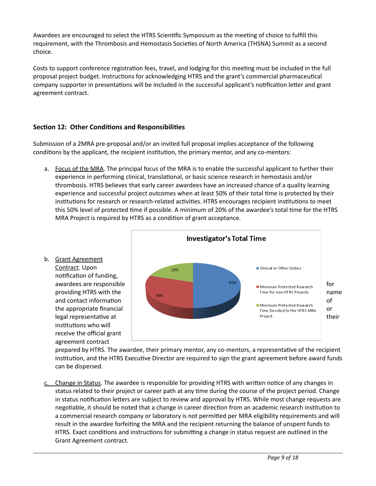Awardees are encouraged to select the HTRS Scientific Symposium as the meeting of choice to fulfill this requirement, with the Thrombosis and Hemostasis Societies of North America (THSNA) Summit as a second choice.

Costs to support conference registration fees, travel, and lodging for this meeting must be included in the full proposal project budget. Instructions for acknowledging HTRS and the grant's commercial pharmaceutical company supporter in presentations will be included in the successful applicant's notification letter and grant agreement contract.

# **Section 12: Other Conditions and Responsibilities**

Submission of a 2MRA pre-proposal and/or an invited full proposal implies acceptance of the following conditions by the applicant, the recipient institution, the primary mentor, and any co-mentors:

- a. Focus of the MRA. The principal focus of the MRA is to enable the successful applicant to further their experience in performing clinical, translational, or basic science research in hemostasis and/or thrombosis. HTRS believes that early career awardees have an increased chance of a quality learning experience and successful project outcomes when at least 50% of their total time is protected by their institutions for research or research-related activities. HTRS encourages recipient institutions to meet this 50% level of protected time if possible. A minimum of 20% of the awardee's total time for the HTRS MRA Project is required by HTRS as a condition of grant acceptance.
- b. Grant Agreement Contract. Upon notification of funding, institutions who will receive the official grant agreement contract



prepared by HTRS. The awardee, their primary mentor, any co-mentors, a representative of the recipient institution, and the HTRS Executive Director are required to sign the grant agreement before award funds can be dispersed.

c. Change in Status. The awardee is responsible for providing HTRS with written notice of any changes in status related to their project or career path at any time during the course of the project period. Change in status notification letters are subject to review and approval by HTRS. While most change requests are negotiable, it should be noted that a change in career direction from an academic research institution to a commercial research company or laboratory is not permitted per MRA eligibility requirements and will result in the awardee forfeiting the MRA and the recipient returning the balance of unspent funds to HTRS. Exact conditions and instructions for submitting a change in status request are outlined in the Grant Agreement contract.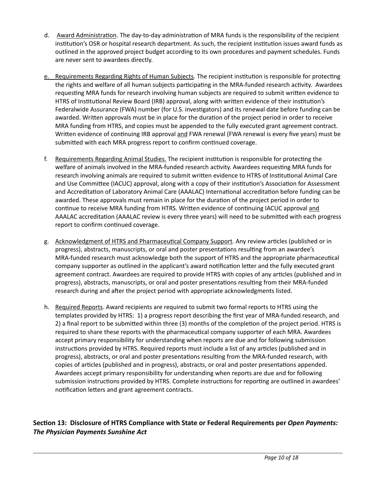- d. Award Administration. The day-to-day administration of MRA funds is the responsibility of the recipient institution's OSR or hospital research department. As such, the recipient institution issues award funds as outlined in the approved project budget according to its own procedures and payment schedules. Funds are never sent to awardees directly.
- e. Requirements Regarding Rights of Human Subjects. The recipient institution is responsible for protecting the rights and welfare of all human subjects participating in the MRA-funded research activity. Awardees requesting MRA funds for research involving human subjects are required to submit written evidence to HTRS of Institutional Review Board (IRB) approval, along with written evidence of their institution's Federalwide Assurance (FWA) number (for U.S. investigators) and its renewal date before funding can be awarded. Written approvals must be in place for the duration of the project period in order to receive MRA funding from HTRS, and copies must be appended to the fully executed grant agreement contract. Written evidence of continuing IRB approval and FWA renewal (FWA renewal is every five years) must be submitted with each MRA progress report to confirm continued coverage.
- f. Requirements Regarding Animal Studies. The recipient institution is responsible for protecting the welfare of animals involved in the MRA-funded research activity. Awardees requesting MRA funds for research involving animals are required to submit written evidence to HTRS of Institutional Animal Care and Use Committee (IACUC) approval, along with a copy of their institution's Association for Assessment and Accreditation of Laboratory Animal Care (AAALAC) International accreditation before funding can be awarded. These approvals must remain in place for the duration of the project period in order to continue to receive MRA funding from HTRS. Written evidence of continuing IACUC approval and AAALAC accreditation (AAALAC review is every three years) will need to be submitted with each progress report to confirm continued coverage.
- g. Acknowledgment of HTRS and Pharmaceutical Company Support. Any review articles (published or in progress), abstracts, manuscripts, or oral and poster presentations resulting from an awardee's MRA-funded research must acknowledge both the support of HTRS and the appropriate pharmaceutical company supporter as outlined in the applicant's award notification letter and the fully executed grant agreement contract. Awardees are required to provide HTRS with copies of any articles (published and in progress), abstracts, manuscripts, or oral and poster presentations resulting from their MRA-funded research during and after the project period with appropriate acknowledgments listed.
- h. Required Reports. Award recipients are required to submit two formal reports to HTRS using the templates provided by HTRS: 1) a progress report describing the first year of MRA-funded research, and 2) a final report to be submitted within three (3) months of the completion of the project period. HTRS is required to share these reports with the pharmaceutical company supporter of each MRA. Awardees accept primary responsibility for understanding when reports are due and for following submission instructions provided by HTRS. Required reports must include a list of any articles (published and in progress), abstracts, or oral and poster presentations resulting from the MRA-funded research, with copies of articles (published and in progress), abstracts, or oral and poster presentations appended. Awardees accept primary responsibility for understanding when reports are due and for following submission instructions provided by HTRS. Complete instructions for reporting are outlined in awardees' notification letters and grant agreement contracts.

# Section 13: Disclosure of HTRS Compliance with State or Federal Requirements per *Open Payments: The Physician Payments Sunshine Act*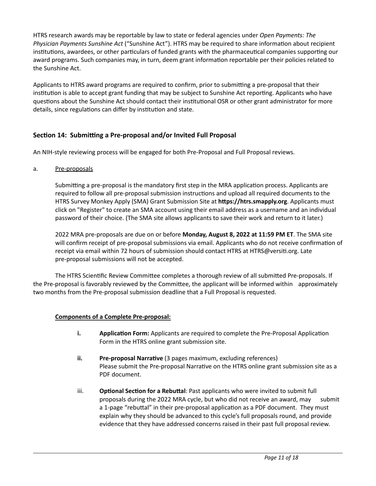HTRS research awards may be reportable by law to state or federal agencies under *Open Payments: The Physician Payments Sunshine Act* ("Sunshine Act"). HTRS may be required to share information about recipient institutions, awardees, or other particulars of funded grants with the pharmaceutical companies supporting our award programs. Such companies may, in turn, deem grant information reportable per their policies related to the Sunshine Act.

Applicants to HTRS award programs are required to confirm, prior to submitting a pre-proposal that their institution is able to accept grant funding that may be subject to Sunshine Act reporting. Applicants who have questions about the Sunshine Act should contact their institutional OSR or other grant administrator for more details, since regulations can differ by institution and state.

# Section 14: Submitting a Pre-proposal and/or Invited Full Proposal

An NIH-style reviewing process will be engaged for both Pre-Proposal and Full Proposal reviews.

a. Pre-proposals

Submitting a pre-proposal is the mandatory first step in the MRA application process. Applicants are required to follow all pre-proposal submission instructions and upload all required documents to the HTRS Survey Monkey Apply (SMA) Grant Submission Site at https://htrs.smapply.org. Applicants must click on "Register" to create an SMA account using their email address as a username and an individual password of their choice. (The SMA site allows applicants to save their work and return to it later.)

2022 MRA pre-proposals are due on or before **Monday, August 8, 2022 at 11:59 PM ET**. The SMA site will confirm receipt of pre-proposal submissions via email. Applicants who do not receive confirmation of receipt via email within 72 hours of submission should contact HTRS at HTRS@versiti.org. Late pre-proposal submissions will not be accepted.

The HTRS Scientific Review Committee completes a thorough review of all submitted Pre-proposals. If the Pre-proposal is favorably reviewed by the Committee, the applicant will be informed within approximately two months from the Pre-proposal submission deadline that a Full Proposal is requested.

### **Components of a Complete Pre-proposal:**

- **i. Application Form:** Applicants are required to complete the Pre-Proposal Application Form in the HTRS online grant submission site.
- **ii. Pre-proposal Narrative** (3 pages maximum, excluding references) Please submit the Pre-proposal Narrative on the HTRS online grant submission site as a PDF document.
- iii. **Optional Section for a Rebuttal**: Past applicants who were invited to submit full proposals during the 2022 MRA cycle, but who did not receive an award, may submit a 1-page "rebuttal" in their pre-proposal application as a PDF document. They must explain why they should be advanced to this cycle's full proposals round, and provide evidence that they have addressed concerns raised in their past full proposal review.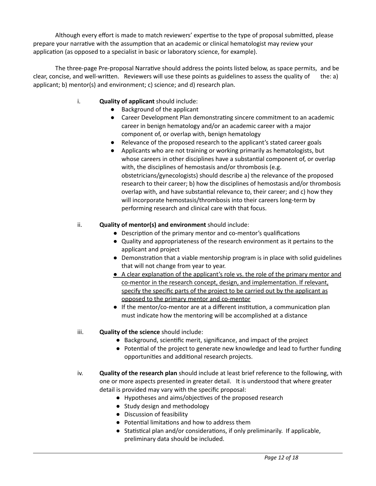Although every effort is made to match reviewers' expertise to the type of proposal submitted, please prepare your narrative with the assumption that an academic or clinical hematologist may review your application (as opposed to a specialist in basic or laboratory science, for example).

The three-page Pre-proposal Narrative should address the points listed below, as space permits, and be clear, concise, and well-written. Reviewers will use these points as guidelines to assess the quality of the: a) applicant; b) mentor(s) and environment; c) science; and d) research plan.

- i. **Quality of applicant** should include:
	- Background of the applicant
	- Career Development Plan demonstrating sincere commitment to an academic career in benign hematology and/or an academic career with a major component of, or overlap with, benign hematology
	- Relevance of the proposed research to the applicant's stated career goals
	- Applicants who are not training or working primarily as hematologists, but whose careers in other disciplines have a substantial component of, or overlap with, the disciplines of hemostasis and/or thrombosis (e.g. obstetricians/gynecologists) should describe a) the relevance of the proposed research to their career; b) how the disciplines of hemostasis and/or thrombosis overlap with, and have substantial relevance to, their career; and c) how they will incorporate hemostasis/thrombosis into their careers long-term by performing research and clinical care with that focus.

### ii. **Quality of mentor(s) and environment** should include:

- Description of the primary mentor and co-mentor's qualifications
- Quality and appropriateness of the research environment as it pertains to the applicant and project
- Demonstration that a viable mentorship program is in place with solid guidelines that will not change from year to year.
- A clear explanation of the applicant's role vs. the role of the primary mentor and co-mentor in the research concept, design, and implementation. If relevant, specify the specific parts of the project to be carried out by the applicant as opposed to the primary mentor and co-mentor
- $\bullet$  If the mentor/co-mentor are at a different institution, a communication plan must indicate how the mentoring will be accomplished at a distance
- iii. **Quality of the science** should include:
	- Background, scientific merit, significance, and impact of the project
	- Potential of the project to generate new knowledge and lead to further funding opportunities and additional research projects.
- iv. **Quality of the research plan** should include at least brief reference to the following, with one or more aspects presented in greater detail. It is understood that where greater detail is provided may vary with the specific proposal:
	- Hypotheses and aims/objectives of the proposed research
	- Study design and methodology
	- Discussion of feasibility
	- Potential limitations and how to address them
	- $\bullet$  Statistical plan and/or considerations, if only preliminarily. If applicable, preliminary data should be included.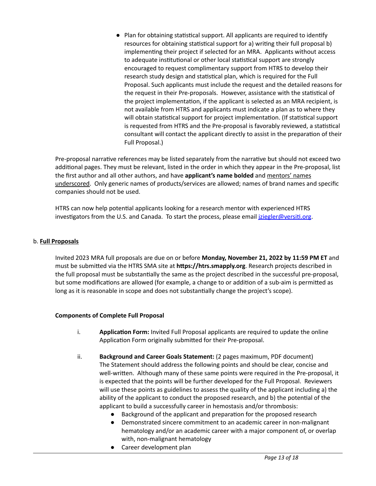$\bullet$  Plan for obtaining statistical support. All applicants are required to identify resources for obtaining statistical support for a) writing their full proposal b) implementing their project if selected for an MRA. Applicants without access to adequate institutional or other local statistical support are strongly encouraged to request complimentary support from HTRS to develop their research study design and statistical plan, which is required for the Full Proposal. Such applicants must include the request and the detailed reasons for the request in their Pre-proposals. However, assistance with the statistical of the project implementation, if the applicant is selected as an MRA recipient, is not available from HTRS and applicants must indicate a plan as to where they will obtain statistical support for project implementation. (If statistical support is requested from HTRS and the Pre-proposal is favorably reviewed, a statistical consultant will contact the applicant directly to assist in the preparation of their Full Proposal.)

Pre-proposal narrative references may be listed separately from the narrative but should not exceed two additional pages. They must be relevant, listed in the order in which they appear in the Pre-proposal, list the first author and all other authors, and have **applicant's name bolded** and mentors' names underscored. Only generic names of products/services are allowed; names of brand names and specific companies should not be used.

HTRS can now help potential applicants looking for a research mentor with experienced HTRS investigators from the U.S. and Canada. To start the process, please email iziegler@versiti.org.

### b. **Full Proposals**

Invited 2023 MRA full proposals are due on or before **Monday, November 21, 2022 by 11:59 PM ET** and must be submitted via the HTRS SMA site at https://htrs.smapply.org. Research projects described in the full proposal must be substantially the same as the project described in the successful pre-proposal, but some modifications are allowed (for example, a change to or addition of a sub-aim is permitted as long as it is reasonable in scope and does not substantially change the project's scope).

#### **Components of Complete Full Proposal**

- i. **Application Form:** Invited Full Proposal applicants are required to update the online Application Form originally submitted for their Pre-proposal.
- ii. **Background and Career Goals Statement:** (2 pages maximum, PDF document) The Statement should address the following points and should be clear, concise and well-written. Although many of these same points were required in the Pre-proposal, it is expected that the points will be further developed for the Full Proposal. Reviewers will use these points as guidelines to assess the quality of the applicant including a) the ability of the applicant to conduct the proposed research, and b) the potential of the applicant to build a successfully career in hemostasis and/or thrombosis:
	- Background of the applicant and preparation for the proposed research
	- Demonstrated sincere commitment to an academic career in non-malignant hematology and/or an academic career with a major component of, or overlap with, non-malignant hematology
	- Career development plan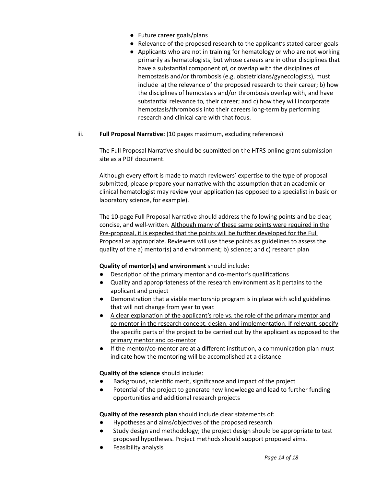- Future career goals/plans
- Relevance of the proposed research to the applicant's stated career goals
- Applicants who are not in training for hematology or who are not working primarily as hematologists, but whose careers are in other disciplines that have a substantial component of, or overlap with the disciplines of hemostasis and/or thrombosis (e.g. obstetricians/gynecologists), must include a) the relevance of the proposed research to their career; b) how the disciplines of hemostasis and/or thrombosis overlap with, and have substantial relevance to, their career; and c) how they will incorporate hemostasis/thrombosis into their careers long-term by performing research and clinical care with that focus.
- iii. **Full Proposal Narrative:** (10 pages maximum, excluding references)

The Full Proposal Narrative should be submitted on the HTRS online grant submission site as a PDF document.

Although every effort is made to match reviewers' expertise to the type of proposal submitted, please prepare your narrative with the assumption that an academic or clinical hematologist may review your application (as opposed to a specialist in basic or laboratory science, for example).

The 10-page Full Proposal Narrative should address the following points and be clear, concise, and well-written. Although many of these same points were required in the Pre-proposal, it is expected that the points will be further developed for the Full Proposal as appropriate. Reviewers will use these points as guidelines to assess the quality of the a) mentor(s) and environment; b) science; and c) research plan

### **Quality of mentor(s) and environment** should include:

- Description of the primary mentor and co-mentor's qualifications
- Quality and appropriateness of the research environment as it pertains to the applicant and project
- Demonstration that a viable mentorship program is in place with solid guidelines that will not change from year to year.
- $\bullet$  A clear explanation of the applicant's role vs. the role of the primary mentor and co-mentor in the research concept, design, and implementation. If relevant, specify the specific parts of the project to be carried out by the applicant as opposed to the primary mentor and co-mentor
- $\bullet$  If the mentor/co-mentor are at a different institution, a communication plan must indicate how the mentoring will be accomplished at a distance

**Quality of the science** should include:

- Background, scientific merit, significance and impact of the project
- Potential of the project to generate new knowledge and lead to further funding opportunities and additional research projects

**Quality of the research plan** should include clear statements of:

- Hypotheses and aims/objectives of the proposed research
- Study design and methodology; the project design should be appropriate to test proposed hypotheses. Project methods should support proposed aims.
- Feasibility analysis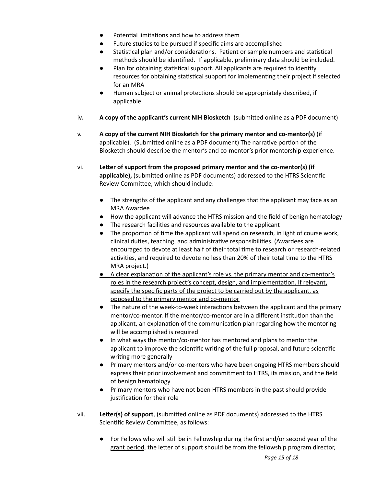- Potential limitations and how to address them
- Future studies to be pursued if specific aims are accomplished
- Statistical plan and/or considerations. Patient or sample numbers and statistical methods should be idenfied. If applicable, preliminary data should be included.
- $\bullet$  Plan for obtaining statistical support. All applicants are required to identify resources for obtaining statistical support for implementing their project if selected for an MRA
- Human subject or animal protections should be appropriately described, if applicable
- iv. **A** copy of the applicant's current NIH Biosketch (submitted online as a PDF document)
- v. **A copy of the current NIH Biosketch for the primary mentor and co-mentor(s)** (if applicable). (Submitted online as a PDF document) The narrative portion of the Biosketch should describe the mentor's and co-mentor's prior mentorship experience.
- vi. **Leer of support from the proposed primary mentor and the co-mentor(s) (if** applicable), (submitted online as PDF documents) addressed to the HTRS Scientific Review Committee, which should include:
	- The strengths of the applicant and any challenges that the applicant may face as an MRA Awardee
	- How the applicant will advance the HTRS mission and the field of benign hematology
	- The research facilities and resources available to the applicant
	- $\bullet$  The proportion of time the applicant will spend on research, in light of course work, clinical duties, teaching, and administrative responsibilities. (Awardees are encouraged to devote at least half of their total time to research or research-related activities, and required to devote no less than 20% of their total time to the HTRS MRA project.)
	- A clear explanation of the applicant's role vs. the primary mentor and co-mentor's roles in the research project's concept, design, and implementation. If relevant, specify the specific parts of the project to be carried out by the applicant, as opposed to the primary mentor and co-mentor
	- The nature of the week-to-week interactions between the applicant and the primary mentor/co-mentor. If the mentor/co-mentor are in a different institution than the applicant, an explanation of the communication plan regarding how the mentoring will be accomplished is required
	- In what ways the mentor/co-mentor has mentored and plans to mentor the applicant to improve the scientific writing of the full proposal, and future scientific writing more generally
	- Primary mentors and/or co-mentors who have been ongoing HTRS members should express their prior involvement and commitment to HTRS, its mission, and the field of benign hematology
	- Primary mentors who have not been HTRS members in the past should provide justification for their role
- vii. **Letter(s) of support**, (submitted online as PDF documents) addressed to the HTRS Scientific Review Committee, as follows:
	- For Fellows who will still be in Fellowship during the first and/or second year of the grant period, the letter of support should be from the fellowship program director,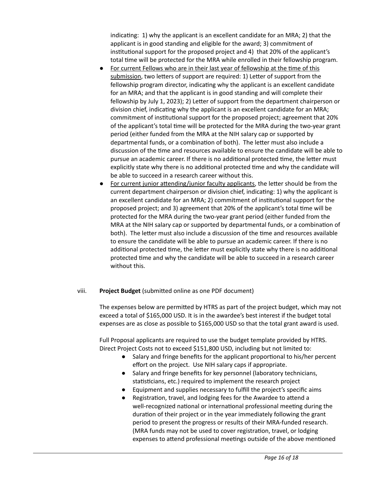indicating: 1) why the applicant is an excellent candidate for an MRA; 2) that the applicant is in good standing and eligible for the award; 3) commitment of institutional support for the proposed project and 4) that 20% of the applicant's total time will be protected for the MRA while enrolled in their fellowship program.

- For current Fellows who are in their last year of fellowship at the time of this submission, two letters of support are required: 1) Letter of support from the fellowship program director, indicating why the applicant is an excellent candidate for an MRA; and that the applicant is in good standing and will complete their fellowship by July 1, 2023); 2) Letter of support from the department chairperson or division chief, indicating why the applicant is an excellent candidate for an MRA; commitment of institutional support for the proposed project; agreement that 20% of the applicant's total me will be protected for the MRA during the two-year grant period (either funded from the MRA at the NIH salary cap or supported by departmental funds, or a combination of both). The letter must also include a discussion of the me and resources available to ensure the candidate will be able to pursue an academic career. If there is no additional protected time, the letter must explicitly state why there is no additional protected time and why the candidate will be able to succeed in a research career without this.
- For current junior attending/junior faculty applicants, the letter should be from the current department chairperson or division chief, indicating: 1) why the applicant is an excellent candidate for an MRA; 2) commitment of institutional support for the proposed project; and 3) agreement that 20% of the applicant's total me will be protected for the MRA during the two-year grant period (either funded from the MRA at the NIH salary cap or supported by departmental funds, or a combination of both). The letter must also include a discussion of the time and resources available to ensure the candidate will be able to pursue an academic career. If there is no additional protected time, the letter must explicitly state why there is no additional protected me and why the candidate will be able to succeed in a research career without this.

### viii. **Project Budget** (submitted online as one PDF document)

The expenses below are permitted by HTRS as part of the project budget, which may not exceed a total of \$165,000 USD. It is in the awardee's best interest if the budget total expenses are as close as possible to \$165,000 USD so that the total grant award is used.

Full Proposal applicants are required to use the budget template provided by HTRS. Direct Project Costs not to exceed \$151,800 USD, including but not limited to:

- Salary and fringe benefits for the applicant proportional to his/her percent effort on the project. Use NIH salary caps if appropriate.
- Salary and fringe benefits for key personnel (laboratory technicians, statisticians, etc.) required to implement the research project
- Equipment and supplies necessary to fulfill the project's specific aims
- Registration, travel, and lodging fees for the Awardee to attend a well-recognized national or international professional meeting during the duration of their project or in the year immediately following the grant period to present the progress or results of their MRA-funded research. (MRA funds may not be used to cover registration, travel, or lodging expenses to attend professional meetings outside of the above mentioned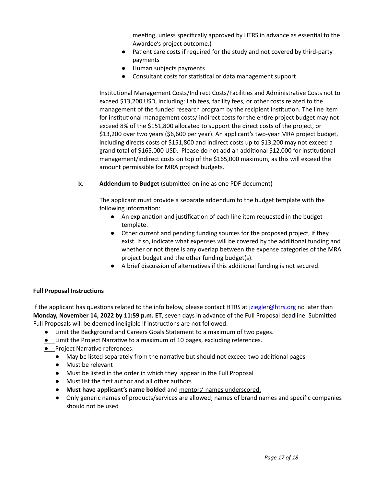meeting, unless specifically approved by HTRS in advance as essential to the Awardee's project outcome.)

- Patient care costs if required for the study and not covered by third-party payments
- Human subjects payments
- Consultant costs for statistical or data management support

Institutional Management Costs/Indirect Costs/Facilities and Administrative Costs not to exceed \$13,200 USD, including: Lab fees, facility fees, or other costs related to the management of the funded research program by the recipient institution. The line item for institutional management costs/ indirect costs for the entire project budget may not exceed 8% of the \$151,800 allocated to support the direct costs of the project, or \$13,200 over two years (\$6,600 per year). An applicant's two-year MRA project budget, including directs costs of \$151,800 and indirect costs up to \$13,200 may not exceed a grand total of \$165,000 USD. Please do not add an additional \$12,000 for institutional management/indirect costs on top of the \$165,000 maximum, as this will exceed the amount permissible for MRA project budgets.

### ix. **Addendum to Budget** (submitted online as one PDF document)

The applicant must provide a separate addendum to the budget template with the following information:

- An explanation and justification of each line item requested in the budget template.
- Other current and pending funding sources for the proposed project, if they exist. If so, indicate what expenses will be covered by the additional funding and whether or not there is any overlap between the expense categories of the MRA project budget and the other funding budget(s).
- A brief discussion of alternatives if this additional funding is not secured.

### **Full Proposal Instructions**

If the applicant has questions related to the info below, please contact HTRS at *iziegler@htrs.org* no later than **Monday, November 14, 2022 by 11:59 p.m. ET, seven days in advance of the Full Proposal deadline. Submitted** Full Proposals will be deemed ineligible if instructions are not followed:

- Limit the Background and Careers Goals Statement to a maximum of two pages.
- **•** Limit the Project Narrative to a maximum of 10 pages, excluding references.
- **•** Project Narrative references:
	- May be listed separately from the narrative but should not exceed two additional pages
	- Must be relevant
	- Must be listed in the order in which they appear in the Full Proposal
	- Must list the first author and all other authors
	- **Must have applicant's name bolded** and mentors' names underscored.
	- Only generic names of products/services are allowed; names of brand names and specific companies should not be used